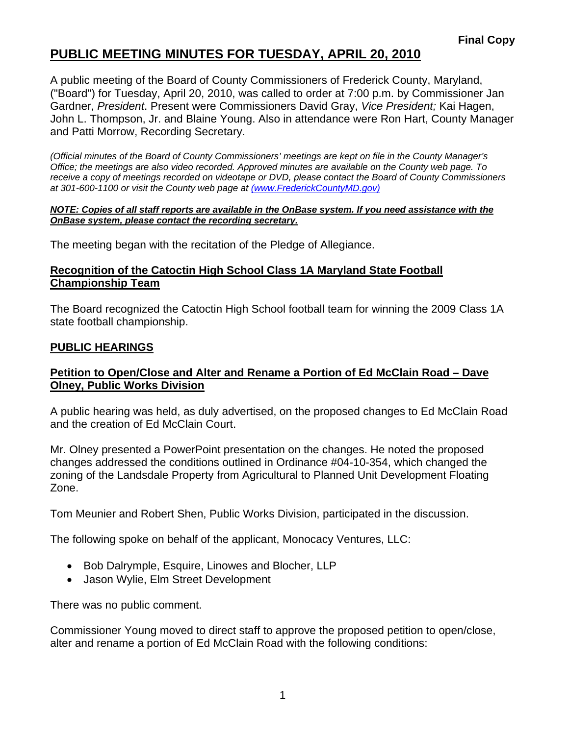# **PUBLIC MEETING MINUTES FOR TUESDAY, APRIL 20, 2010**

A public meeting of the Board of County Commissioners of Frederick County, Maryland, ("Board") for Tuesday, April 20, 2010, was called to order at 7:00 p.m. by Commissioner Jan Gardner, *President*. Present were Commissioners David Gray, *Vice President;* Kai Hagen, John L. Thompson, Jr. and Blaine Young. Also in attendance were Ron Hart, County Manager and Patti Morrow, Recording Secretary.

*(Official minutes of the Board of County Commissioners' meetings are kept on file in the County Manager's Office; the meetings are also video recorded. Approved minutes are available on the County web page. To receive a copy of meetings recorded on videotape or DVD, please contact the Board of County Commissioners at 301-600-1100 or visit the County web page at (www.FrederickCountyMD.gov)*

#### *NOTE: Copies of all staff reports are available in the OnBase system. If you need assistance with the OnBase system, please contact the recording secretary.*

The meeting began with the recitation of the Pledge of Allegiance.

#### **Recognition of the Catoctin High School Class 1A Maryland State Football Championship Team**

The Board recognized the Catoctin High School football team for winning the 2009 Class 1A state football championship.

### **PUBLIC HEARINGS**

### **Petition to Open/Close and Alter and Rename a Portion of Ed McClain Road – Dave Olney, Public Works Division**

A public hearing was held, as duly advertised, on the proposed changes to Ed McClain Road and the creation of Ed McClain Court.

Mr. Olney presented a PowerPoint presentation on the changes. He noted the proposed changes addressed the conditions outlined in Ordinance #04-10-354, which changed the zoning of the Landsdale Property from Agricultural to Planned Unit Development Floating Zone.

Tom Meunier and Robert Shen, Public Works Division, participated in the discussion.

The following spoke on behalf of the applicant, Monocacy Ventures, LLC:

- Bob Dalrymple, Esquire, Linowes and Blocher, LLP
- Jason Wylie, Elm Street Development

There was no public comment.

Commissioner Young moved to direct staff to approve the proposed petition to open/close, alter and rename a portion of Ed McClain Road with the following conditions: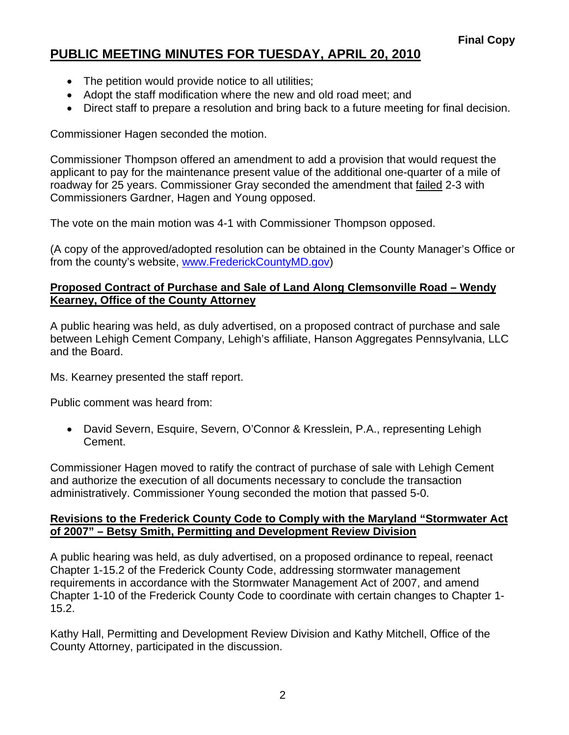# **PUBLIC MEETING MINUTES FOR TUESDAY, APRIL 20, 2010**

- The petition would provide notice to all utilities;
- Adopt the staff modification where the new and old road meet; and
- Direct staff to prepare a resolution and bring back to a future meeting for final decision.

Commissioner Hagen seconded the motion.

Commissioner Thompson offered an amendment to add a provision that would request the applicant to pay for the maintenance present value of the additional one-quarter of a mile of roadway for 25 years. Commissioner Gray seconded the amendment that failed 2-3 with Commissioners Gardner, Hagen and Young opposed.

The vote on the main motion was 4-1 with Commissioner Thompson opposed.

(A copy of the approved/adopted resolution can be obtained in the County Manager's Office or from the county's website, [www.FrederickCountyMD.gov\)](http://www.frederickcountymd.gov/)

### **Proposed Contract of Purchase and Sale of Land Along Clemsonville Road – Wendy Kearney, Office of the County Attorney**

A public hearing was held, as duly advertised, on a proposed contract of purchase and sale between Lehigh Cement Company, Lehigh's affiliate, Hanson Aggregates Pennsylvania, LLC and the Board.

Ms. Kearney presented the staff report.

Public comment was heard from:

• David Severn, Esquire, Severn, O'Connor & Kresslein, P.A., representing Lehigh Cement.

Commissioner Hagen moved to ratify the contract of purchase of sale with Lehigh Cement and authorize the execution of all documents necessary to conclude the transaction administratively. Commissioner Young seconded the motion that passed 5-0.

#### **Revisions to the Frederick County Code to Comply with the Maryland "Stormwater Act of 2007" – Betsy Smith, Permitting and Development Review Division**

A public hearing was held, as duly advertised, on a proposed ordinance to repeal, reenact Chapter 1-15.2 of the Frederick County Code, addressing stormwater management requirements in accordance with the Stormwater Management Act of 2007, and amend Chapter 1-10 of the Frederick County Code to coordinate with certain changes to Chapter 1- 15.2.

Kathy Hall, Permitting and Development Review Division and Kathy Mitchell, Office of the County Attorney, participated in the discussion.